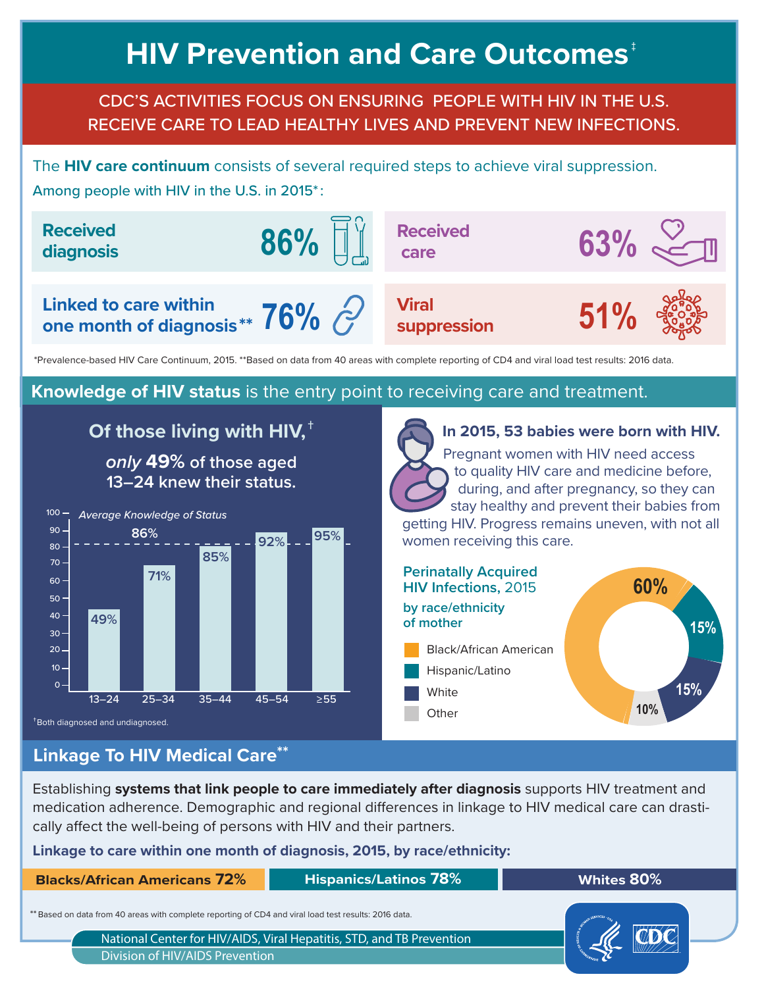# **HIV Prevention and Care Outcomes<sup>[‡](#page-1-0)</sup>**

#### CDC'S ACTIVITIES FOCUS ON ENSURING PEOPLE WITH HIV IN THE U.S. RECEIVE CARE TO LEAD HEALTHY LIVES AND PREVENT NEW INFECTIONS.

Among people with HIV in the U.S. in 2015\*: The **HIV care continuum** consists of several required steps to achieve viral suppression.



\*Prevalence-based HIV Care Continuum, 2015. \*\*Based on data from 40 areas with complete reporting of CD4 and viral load test results: 2016 data.

#### **Knowledge of HIV status** is the entry point to receiving care and treatment.

## **Of those living with HIV,**†

*only* **49% of those aged 13–24 knew their status.**



†Both diagnosed and undiagnosed.

### **Linkage To HIV Medical Care\*\***

Establishing **systems that link people to care immediately after diagnosis** supports HIV treatment and medication adherence. Demographic and regional differences in linkage to HIV medical care can drastically affect the well-being of persons with HIV and their partners.

**Linkage to care within one month of diagnosis, 2015, by race/ethnicity:**

**Blacks/African Americans 72% Hispanics/Latinos 78% Whites 80%**

**60%**

**10%**

**15%**

**15%**

**In 2015, 53 babies were born with HIV.** 

 Pregnant women with HIV need access to quality HIV care and medicine before, during, and after pregnancy, so they can stay healthy and prevent their babies from

getting HIV. Progress remains uneven, with not all

women receiving this care.

Black/African American

**Perinatally Acquired HIV Infections,** 2015

Hispanic/Latino

**by race/ethnicity** 

**of mother** 

**White Other** 

\*\*Based on data from 40 areas with complete reporting of CD4 and viral load test results: 2016 data.

National Center for HIV/AIDS, Viral Hepatitis, STD, and TB Prevention Division of HIV/AIDS Prevention